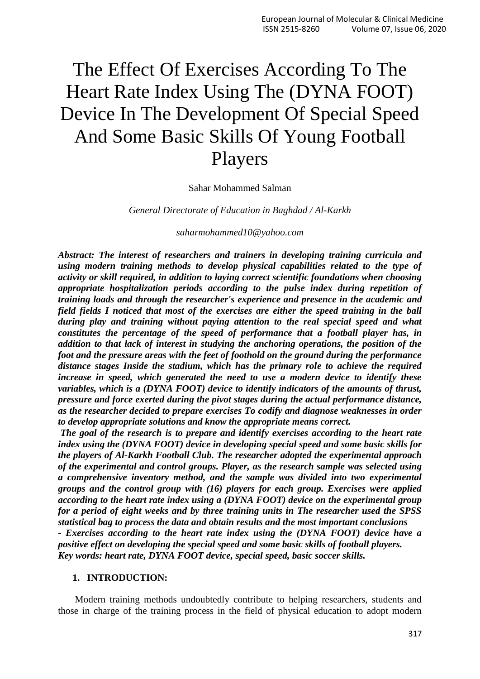# The Effect Of Exercises According To The Heart Rate Index Using The (DYNA FOOT) Device In The Development Of Special Speed And Some Basic Skills Of Young Football Players

#### Sahar Mohammed Salman

*General Directorate of Education in Baghdad / Al-Karkh*

*[saharmohammed10@yahoo.com](mailto:saharmohammed10@yahoo.com)*

*Abstract: The interest of researchers and trainers in developing training curricula and using modern training methods to develop physical capabilities related to the type of activity or skill required, in addition to laying correct scientific foundations when choosing appropriate hospitalization periods according to the pulse index during repetition of training loads and through the researcher's experience and presence in the academic and field fields I noticed that most of the exercises are either the speed training in the ball during play and training without paying attention to the real special speed and what constitutes the percentage of the speed of performance that a football player has, in addition to that lack of interest in studying the anchoring operations, the position of the foot and the pressure areas with the feet of foothold on the ground during the performance distance stages Inside the stadium, which has the primary role to achieve the required increase in speed, which generated the need to use a modern device to identify these variables, which is a (DYNA FOOT) device to identify indicators of the amounts of thrust, pressure and force exerted during the pivot stages during the actual performance distance, as the researcher decided to prepare exercises To codify and diagnose weaknesses in order to develop appropriate solutions and know the appropriate means correct.*

*The goal of the research is to prepare and identify exercises according to the heart rate index using the (DYNA FOOT) device in developing special speed and some basic skills for the players of Al-Karkh Football Club. The researcher adopted the experimental approach of the experimental and control groups. Player, as the research sample was selected using a comprehensive inventory method, and the sample was divided into two experimental groups and the control group with (16) players for each group. Exercises were applied according to the heart rate index using a (DYNA FOOT) device on the experimental group for a period of eight weeks and by three training units in The researcher used the SPSS statistical bag to process the data and obtain results and the most important conclusions - Exercises according to the heart rate index using the (DYNA FOOT) device have a* 

*positive effect on developing the special speed and some basic skills of football players. Key words: heart rate, DYNA FOOT device, special speed, basic soccer skills.*

#### **1. INTRODUCTION:**

 Modern training methods undoubtedly contribute to helping researchers, students and those in charge of the training process in the field of physical education to adopt modern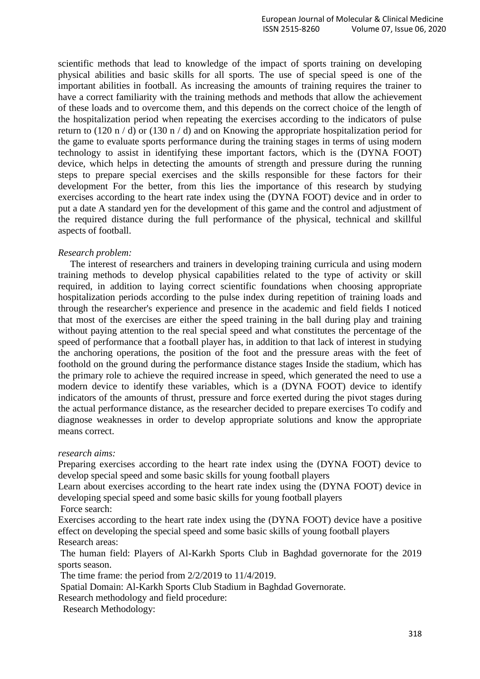scientific methods that lead to knowledge of the impact of sports training on developing physical abilities and basic skills for all sports. The use of special speed is one of the important abilities in football. As increasing the amounts of training requires the trainer to have a correct familiarity with the training methods and methods that allow the achievement of these loads and to overcome them, and this depends on the correct choice of the length of the hospitalization period when repeating the exercises according to the indicators of pulse return to (120 n / d) or (130 n / d) and on Knowing the appropriate hospitalization period for the game to evaluate sports performance during the training stages in terms of using modern technology to assist in identifying these important factors, which is the (DYNA FOOT) device, which helps in detecting the amounts of strength and pressure during the running steps to prepare special exercises and the skills responsible for these factors for their development For the better, from this lies the importance of this research by studying exercises according to the heart rate index using the (DYNA FOOT) device and in order to put a date A standard yen for the development of this game and the control and adjustment of the required distance during the full performance of the physical, technical and skillful aspects of football.

#### *Research problem:*

 The interest of researchers and trainers in developing training curricula and using modern training methods to develop physical capabilities related to the type of activity or skill required, in addition to laying correct scientific foundations when choosing appropriate hospitalization periods according to the pulse index during repetition of training loads and through the researcher's experience and presence in the academic and field fields I noticed that most of the exercises are either the speed training in the ball during play and training without paying attention to the real special speed and what constitutes the percentage of the speed of performance that a football player has, in addition to that lack of interest in studying the anchoring operations, the position of the foot and the pressure areas with the feet of foothold on the ground during the performance distance stages Inside the stadium, which has the primary role to achieve the required increase in speed, which generated the need to use a modern device to identify these variables, which is a (DYNA FOOT) device to identify indicators of the amounts of thrust, pressure and force exerted during the pivot stages during the actual performance distance, as the researcher decided to prepare exercises To codify and diagnose weaknesses in order to develop appropriate solutions and know the appropriate means correct.

#### *research aims:*

Preparing exercises according to the heart rate index using the (DYNA FOOT) device to develop special speed and some basic skills for young football players

Learn about exercises according to the heart rate index using the (DYNA FOOT) device in developing special speed and some basic skills for young football players

Force search:

Exercises according to the heart rate index using the (DYNA FOOT) device have a positive effect on developing the special speed and some basic skills of young football players Research areas:

The human field: Players of Al-Karkh Sports Club in Baghdad governorate for the 2019 sports season.

The time frame: the period from 2/2/2019 to 11/4/2019.

Spatial Domain: Al-Karkh Sports Club Stadium in Baghdad Governorate.

Research methodology and field procedure:

Research Methodology: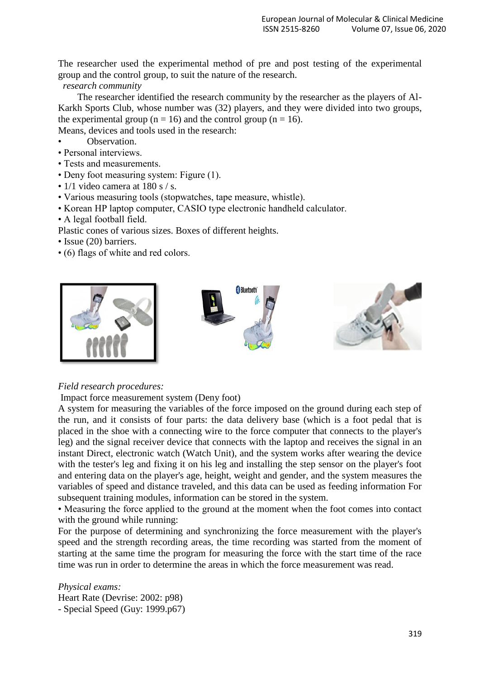The researcher used the experimental method of pre and post testing of the experimental group and the control group, to suit the nature of the research.

## *research community*

 The researcher identified the research community by the researcher as the players of Al-Karkh Sports Club, whose number was (32) players, and they were divided into two groups, the experimental group ( $n = 16$ ) and the control group ( $n = 16$ ).

Means, devices and tools used in the research:

- Observation.
- Personal interviews.
- Tests and measurements.
- Deny foot measuring system: Figure (1).
- 1/1 video camera at 180 s / s.
- Various measuring tools (stopwatches, tape measure, whistle).
- Korean HP laptop computer, CASIO type electronic handheld calculator.
- A legal football field.

Plastic cones of various sizes. Boxes of different heights.

- Issue (20) barriers.
- (6) flags of white and red colors.



## *Field research procedures:*

#### Impact force measurement system (Deny foot)

A system for measuring the variables of the force imposed on the ground during each step of the run, and it consists of four parts: the data delivery base (which is a foot pedal that is placed in the shoe with a connecting wire to the force computer that connects to the player's leg) and the signal receiver device that connects with the laptop and receives the signal in an instant Direct, electronic watch (Watch Unit), and the system works after wearing the device with the tester's leg and fixing it on his leg and installing the step sensor on the player's foot and entering data on the player's age, height, weight and gender, and the system measures the variables of speed and distance traveled, and this data can be used as feeding information For subsequent training modules, information can be stored in the system.

• Measuring the force applied to the ground at the moment when the foot comes into contact with the ground while running:

For the purpose of determining and synchronizing the force measurement with the player's speed and the strength recording areas, the time recording was started from the moment of starting at the same time the program for measuring the force with the start time of the race time was run in order to determine the areas in which the force measurement was read.

*Physical exams:* Heart Rate (Devrise: 2002: p98) - Special Speed (Guy: 1999.p67)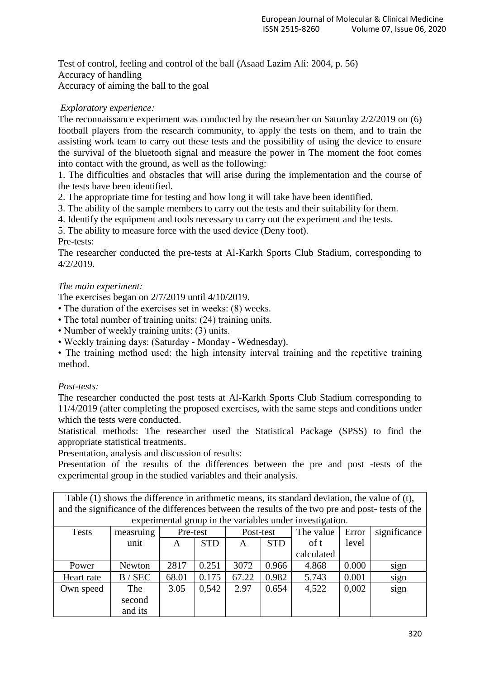Test of control, feeling and control of the ball (Asaad Lazim Ali: 2004, p. 56) Accuracy of handling Accuracy of aiming the ball to the goal

## *Exploratory experience:*

The reconnaissance experiment was conducted by the researcher on Saturday 2/2/2019 on (6) football players from the research community, to apply the tests on them, and to train the assisting work team to carry out these tests and the possibility of using the device to ensure the survival of the bluetooth signal and measure the power in The moment the foot comes into contact with the ground, as well as the following:

1. The difficulties and obstacles that will arise during the implementation and the course of the tests have been identified.

2. The appropriate time for testing and how long it will take have been identified.

3. The ability of the sample members to carry out the tests and their suitability for them.

4. Identify the equipment and tools necessary to carry out the experiment and the tests.

5. The ability to measure force with the used device (Deny foot).

## Pre-tests:

The researcher conducted the pre-tests at Al-Karkh Sports Club Stadium, corresponding to 4/2/2019.

## *The main experiment:*

The exercises began on 2/7/2019 until 4/10/2019.

• The duration of the exercises set in weeks: (8) weeks.

- The total number of training units: (24) training units.
- Number of weekly training units: (3) units.

• Weekly training days: (Saturday - Monday - Wednesday).

• The training method used: the high intensity interval training and the repetitive training method.

## *Post-tests:*

The researcher conducted the post tests at Al-Karkh Sports Club Stadium corresponding to 11/4/2019 (after completing the proposed exercises, with the same steps and conditions under which the tests were conducted.

Statistical methods: The researcher used the Statistical Package (SPSS) to find the appropriate statistical treatments.

Presentation, analysis and discussion of results:

Presentation of the results of the differences between the pre and post -tests of the experimental group in the studied variables and their analysis.

| Table (1) shows the difference in arithmetic means, its standard deviation, the value of (t),    |
|--------------------------------------------------------------------------------------------------|
| and the significance of the differences between the results of the two pre and post-tests of the |
| experimental group in the variables under investigation.                                         |

| <b>Tests</b> | measruing | Pre-test |            | Post-test |            | The value  | Error | significance |  |
|--------------|-----------|----------|------------|-----------|------------|------------|-------|--------------|--|
|              | unit      | A        | <b>STD</b> | A         | <b>STD</b> | of t       | level |              |  |
|              |           |          |            |           |            | calculated |       |              |  |
| Power        | Newton    | 2817     | 0.251      | 3072      | 0.966      | 4.868      | 0.000 | sign         |  |
| Heart rate   | B / SEC   | 68.01    | 0.175      | 67.22     | 0.982      | 5.743      | 0.001 | sign         |  |
| Own speed    | The       | 3.05     | 0,542      | 2.97      | 0.654      | 4,522      | 0,002 | sign         |  |
|              | second    |          |            |           |            |            |       |              |  |
|              | and its   |          |            |           |            |            |       |              |  |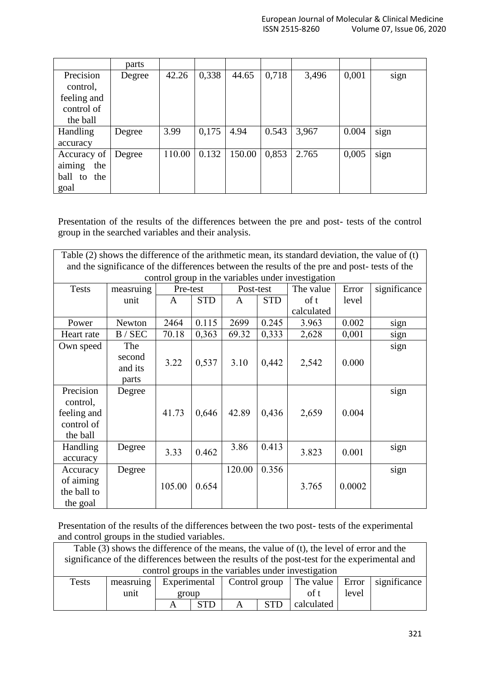|                   | parts  |        |       |        |       |       |       |      |
|-------------------|--------|--------|-------|--------|-------|-------|-------|------|
| Precision         | Degree | 42.26  | 0,338 | 44.65  | 0,718 | 3,496 | 0,001 | sign |
| control,          |        |        |       |        |       |       |       |      |
| feeling and       |        |        |       |        |       |       |       |      |
| control of        |        |        |       |        |       |       |       |      |
| the ball          |        |        |       |        |       |       |       |      |
| Handling          | Degree | 3.99   | 0,175 | 4.94   | 0.543 | 3,967 | 0.004 | sign |
| accuracy          |        |        |       |        |       |       |       |      |
| Accuracy of       | Degree | 110.00 | 0.132 | 150.00 | 0,853 | 2.765 | 0,005 | sign |
| aiming<br>the     |        |        |       |        |       |       |       |      |
| ball<br>the<br>to |        |        |       |        |       |       |       |      |
| goal              |        |        |       |        |       |       |       |      |

Presentation of the results of the differences between the pre and post- tests of the control group in the searched variables and their analysis.

| Table $(2)$ shows the difference of the arithmetic mean, its standard deviation, the value of $(t)$ |           |          |            |           |            |            |        |              |  |
|-----------------------------------------------------------------------------------------------------|-----------|----------|------------|-----------|------------|------------|--------|--------------|--|
| and the significance of the differences between the results of the pre and post-tests of the        |           |          |            |           |            |            |        |              |  |
| control group in the variables under investigation                                                  |           |          |            |           |            |            |        |              |  |
| <b>Tests</b>                                                                                        | measruing | Pre-test |            | Post-test |            | The value  | Error  | significance |  |
|                                                                                                     | unit      | A        | <b>STD</b> | A         | <b>STD</b> | of t       | level  |              |  |
|                                                                                                     |           |          |            |           |            | calculated |        |              |  |
| Power                                                                                               | Newton    | 2464     | 0.115      | 2699      | 0.245      | 3.963      | 0.002  | sign         |  |
| Heart rate                                                                                          | B / SEC   | 70.18    | 0,363      | 69.32     | 0,333      | 2,628      | 0,001  | sign         |  |
| Own speed                                                                                           | The       |          |            |           |            |            |        | sign         |  |
|                                                                                                     | second    | 3.22     | 0,537      | 3.10      | 0,442      | 2,542      | 0.000  |              |  |
|                                                                                                     | and its   |          |            |           |            |            |        |              |  |
|                                                                                                     | parts     |          |            |           |            |            |        |              |  |
| Precision                                                                                           | Degree    |          |            |           |            |            |        | sign         |  |
| control,                                                                                            |           |          |            |           |            |            |        |              |  |
| feeling and                                                                                         |           | 41.73    | 0,646      | 42.89     | 0,436      | 2,659      | 0.004  |              |  |
| control of                                                                                          |           |          |            |           |            |            |        |              |  |
| the ball                                                                                            |           |          |            |           |            |            |        |              |  |
| Handling                                                                                            | Degree    | 3.33     | 0.462      | 3.86      | 0.413      | 3.823      | 0.001  | sign         |  |
| accuracy                                                                                            |           |          |            |           |            |            |        |              |  |
| Accuracy                                                                                            | Degree    |          |            | 120.00    | 0.356      |            |        | sign         |  |
| of aiming                                                                                           |           | 105.00   | 0.654      |           |            | 3.765      | 0.0002 |              |  |
| the ball to                                                                                         |           |          |            |           |            |            |        |              |  |
| the goal                                                                                            |           |          |            |           |            |            |        |              |  |

Presentation of the results of the differences between the two post- tests of the experimental and control groups in the studied variables.

| Table (3) shows the difference of the means, the value of (t), the level of error and the     |           |       |              |  |            |                           |       |                    |  |
|-----------------------------------------------------------------------------------------------|-----------|-------|--------------|--|------------|---------------------------|-------|--------------------|--|
| significance of the differences between the results of the post-test for the experimental and |           |       |              |  |            |                           |       |                    |  |
| control groups in the variables under investigation                                           |           |       |              |  |            |                           |       |                    |  |
| <b>Tests</b>                                                                                  | measruing |       | Experimental |  |            | Control group   The value |       | Error significance |  |
|                                                                                               | unit      | group |              |  |            | of t                      | level |                    |  |
|                                                                                               |           |       |              |  | <b>STD</b> | calculated                |       |                    |  |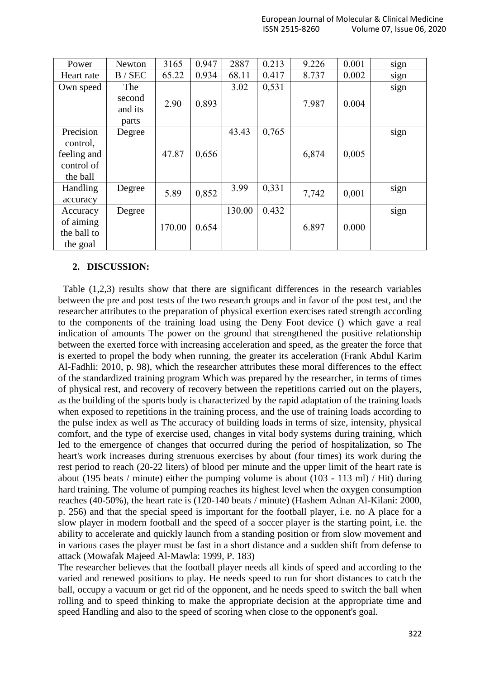| Power       | Newton  | 3165   | 0.947 | 2887   | 0.213 | 9.226 | 0.001 |      |
|-------------|---------|--------|-------|--------|-------|-------|-------|------|
|             |         |        |       |        |       |       |       | sign |
| Heart rate  | B / SEC | 65.22  | 0.934 | 68.11  | 0.417 | 8.737 | 0.002 | sign |
| Own speed   | The     |        |       | 3.02   | 0,531 |       |       | sign |
|             | second  | 2.90   | 0,893 |        |       | 7.987 | 0.004 |      |
|             | and its |        |       |        |       |       |       |      |
|             | parts   |        |       |        |       |       |       |      |
| Precision   | Degree  |        |       | 43.43  | 0,765 |       |       | sign |
| control,    |         |        |       |        |       |       |       |      |
| feeling and |         | 47.87  | 0,656 |        |       | 6,874 | 0,005 |      |
| control of  |         |        |       |        |       |       |       |      |
| the ball    |         |        |       |        |       |       |       |      |
| Handling    | Degree  | 5.89   | 0,852 | 3.99   | 0,331 | 7,742 | 0,001 | sign |
| accuracy    |         |        |       |        |       |       |       |      |
| Accuracy    | Degree  |        |       | 130.00 | 0.432 |       |       | sign |
| of aiming   |         | 170.00 | 0.654 |        |       | 6.897 | 0.000 |      |
| the ball to |         |        |       |        |       |       |       |      |
| the goal    |         |        |       |        |       |       |       |      |

## **2. DISCUSSION:**

 Table (1,2,3) results show that there are significant differences in the research variables between the pre and post tests of the two research groups and in favor of the post test, and the researcher attributes to the preparation of physical exertion exercises rated strength according to the components of the training load using the Deny Foot device () which gave a real indication of amounts The power on the ground that strengthened the positive relationship between the exerted force with increasing acceleration and speed, as the greater the force that is exerted to propel the body when running, the greater its acceleration (Frank Abdul Karim Al-Fadhli: 2010, p. 98), which the researcher attributes these moral differences to the effect of the standardized training program Which was prepared by the researcher, in terms of times of physical rest, and recovery of recovery between the repetitions carried out on the players, as the building of the sports body is characterized by the rapid adaptation of the training loads when exposed to repetitions in the training process, and the use of training loads according to the pulse index as well as The accuracy of building loads in terms of size, intensity, physical comfort, and the type of exercise used, changes in vital body systems during training, which led to the emergence of changes that occurred during the period of hospitalization, so The heart's work increases during strenuous exercises by about (four times) its work during the rest period to reach (20-22 liters) of blood per minute and the upper limit of the heart rate is about (195 beats / minute) either the pumping volume is about (103 - 113 ml) / Hit) during hard training. The volume of pumping reaches its highest level when the oxygen consumption reaches (40-50%), the heart rate is (120-140 beats / minute) (Hashem Adnan Al-Kilani: 2000, p. 256) and that the special speed is important for the football player, i.e. no A place for a slow player in modern football and the speed of a soccer player is the starting point, i.e. the ability to accelerate and quickly launch from a standing position or from slow movement and in various cases the player must be fast in a short distance and a sudden shift from defense to attack (Mowafak Majeed Al-Mawla: 1999, P. 183)

The researcher believes that the football player needs all kinds of speed and according to the varied and renewed positions to play. He needs speed to run for short distances to catch the ball, occupy a vacuum or get rid of the opponent, and he needs speed to switch the ball when rolling and to speed thinking to make the appropriate decision at the appropriate time and speed Handling and also to the speed of scoring when close to the opponent's goal.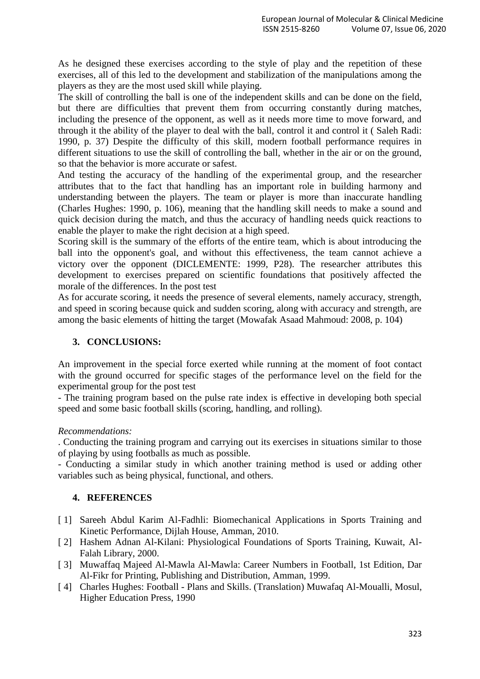As he designed these exercises according to the style of play and the repetition of these exercises, all of this led to the development and stabilization of the manipulations among the players as they are the most used skill while playing.

The skill of controlling the ball is one of the independent skills and can be done on the field, but there are difficulties that prevent them from occurring constantly during matches, including the presence of the opponent, as well as it needs more time to move forward, and through it the ability of the player to deal with the ball, control it and control it (Saleh Radi: 1990, p. 37) Despite the difficulty of this skill, modern football performance requires in different situations to use the skill of controlling the ball, whether in the air or on the ground, so that the behavior is more accurate or safest.

And testing the accuracy of the handling of the experimental group, and the researcher attributes that to the fact that handling has an important role in building harmony and understanding between the players. The team or player is more than inaccurate handling (Charles Hughes: 1990, p. 106), meaning that the handling skill needs to make a sound and quick decision during the match, and thus the accuracy of handling needs quick reactions to enable the player to make the right decision at a high speed.

Scoring skill is the summary of the efforts of the entire team, which is about introducing the ball into the opponent's goal, and without this effectiveness, the team cannot achieve a victory over the opponent (DICLEMENTE: 1999, P28). The researcher attributes this development to exercises prepared on scientific foundations that positively affected the morale of the differences. In the post test

As for accurate scoring, it needs the presence of several elements, namely accuracy, strength, and speed in scoring because quick and sudden scoring, along with accuracy and strength, are among the basic elements of hitting the target (Mowafak Asaad Mahmoud: 2008, p. 104)

## **3. CONCLUSIONS:**

An improvement in the special force exerted while running at the moment of foot contact with the ground occurred for specific stages of the performance level on the field for the experimental group for the post test

- The training program based on the pulse rate index is effective in developing both special speed and some basic football skills (scoring, handling, and rolling).

## *Recommendations:*

. Conducting the training program and carrying out its exercises in situations similar to those of playing by using footballs as much as possible.

- Conducting a similar study in which another training method is used or adding other variables such as being physical, functional, and others.

## **4. REFERENCES**

- [ 1] Sareeh Abdul Karim Al-Fadhli: Biomechanical Applications in Sports Training and Kinetic Performance, Dijlah House, Amman, 2010.
- [ 2] Hashem Adnan Al-Kilani: Physiological Foundations of Sports Training, Kuwait, Al-Falah Library, 2000.
- [ 3] Muwaffaq Majeed Al-Mawla Al-Mawla: Career Numbers in Football, 1st Edition, Dar Al-Fikr for Printing, Publishing and Distribution, Amman, 1999.
- [ 4] Charles Hughes: Football Plans and Skills. (Translation) Muwafaq Al-Moualli, Mosul, Higher Education Press, 1990